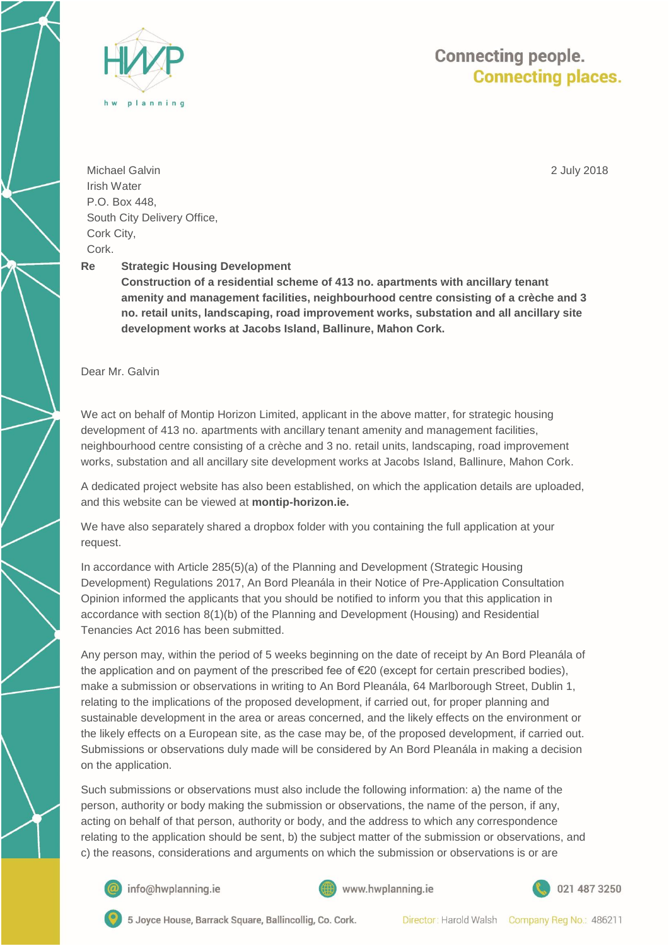

2 July 2018



Michael Galvin Irish Water P.O. Box 448, South City Delivery Office, Cork City, Cork.

## **Re Strategic Housing Development**

**Construction of a residential scheme of 413 no. apartments with ancillary tenant amenity and management facilities, neighbourhood centre consisting of a crèche and 3 no. retail units, landscaping, road improvement works, substation and all ancillary site development works at Jacobs Island, Ballinure, Mahon Cork.** 

Dear Mr. Galvin

We act on behalf of Montip Horizon Limited, applicant in the above matter, for strategic housing development of 413 no. apartments with ancillary tenant amenity and management facilities, neighbourhood centre consisting of a crèche and 3 no. retail units, landscaping, road improvement works, substation and all ancillary site development works at Jacobs Island, Ballinure, Mahon Cork.

A dedicated project website has also been established, on which the application details are uploaded, and this website can be viewed at **montip-horizon.ie.**

We have also separately shared a dropbox folder with you containing the full application at your request.

In accordance with Article 285(5)(a) of the Planning and Development (Strategic Housing Development) Regulations 2017, An Bord Pleanála in their Notice of Pre-Application Consultation Opinion informed the applicants that you should be notified to inform you that this application in accordance with section 8(1)(b) of the Planning and Development (Housing) and Residential Tenancies Act 2016 has been submitted.

Any person may, within the period of 5 weeks beginning on the date of receipt by An Bord Pleanála of the application and on payment of the prescribed fee of €20 (except for certain prescribed bodies), make a submission or observations in writing to An Bord Pleanála, 64 Marlborough Street, Dublin 1, relating to the implications of the proposed development, if carried out, for proper planning and sustainable development in the area or areas concerned, and the likely effects on the environment or the likely effects on a European site, as the case may be, of the proposed development, if carried out. Submissions or observations duly made will be considered by An Bord Pleanála in making a decision on the application.

Such submissions or observations must also include the following information: a) the name of the person, authority or body making the submission or observations, the name of the person, if any, acting on behalf of that person, authority or body, and the address to which any correspondence relating to the application should be sent, b) the subject matter of the submission or observations, and c) the reasons, considerations and arguments on which the submission or observations is or are



info@hwplanning.ie



021 487 3250



5 Joyce House, Barrack Square, Ballincollig, Co. Cork.